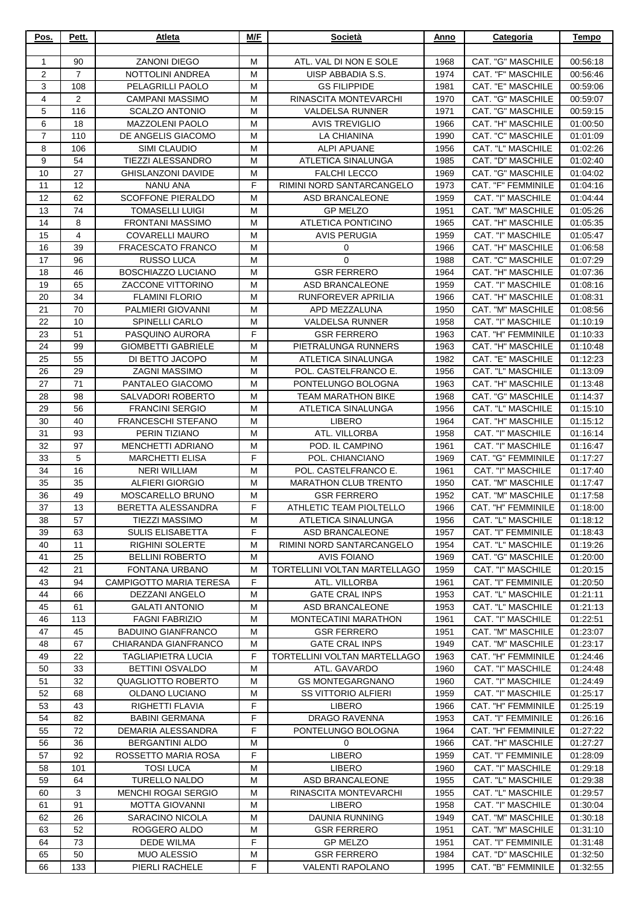| Pos.           | Pett.    | Atleta                                             | M/F    | Società                                          | Anno         | Categoria                                | <b>Tempo</b>         |
|----------------|----------|----------------------------------------------------|--------|--------------------------------------------------|--------------|------------------------------------------|----------------------|
| 1              | 90       | <b>ZANONI DIEGO</b>                                | M      | ATL. VAL DI NON E SOLE                           | 1968         | CAT. "G" MASCHILE                        | 00:56:18             |
| $\overline{2}$ | 7        | NOTTOLINI ANDREA                                   | м      | UISP ABBADIA S.S.                                | 1974         | CAT. "F" MASCHILE                        | 00:56:46             |
| 3              | 108      | PELAGRILLI PAOLO                                   | M      | <b>GS FILIPPIDE</b>                              | 1981         | CAT. "E" MASCHILE                        | 00:59:06             |
| $\overline{4}$ | 2        | <b>CAMPANI MASSIMO</b>                             | M      | RINASCITA MONTEVARCHI                            | 1970         | CAT. "G" MASCHILE                        | 00:59:07             |
| 5              | 116      | <b>SCALZO ANTONIO</b>                              | M      | <b>VALDELSA RUNNER</b>                           | 1971         | <b>CAT. "G" MASCHILE</b>                 | 00:59:15             |
| 6              | 18       | <b>MAZZOLENI PAOLO</b>                             | M      | <b>AVIS TREVIGLIO</b>                            | 1966         | CAT. "H" MASCHILE                        | 01:00:50             |
| 7              | 110      | DE ANGELIS GIACOMO                                 | M      | <b>LA CHIANINA</b>                               | 1990         | CAT. "C" MASCHILE                        | 01:01:09             |
| 8              | 106      | SIMI CLAUDIO                                       | м      | <b>ALPI APUANE</b>                               | 1956         | CAT. "L" MASCHILE                        | 01:02:26             |
| 9              | 54<br>27 | <b>TIEZZI ALESSANDRO</b>                           | M      | ATLETICA SINALUNGA                               | 1985         | CAT. "D" MASCHILE                        | 01:02:40             |
| 10<br>11       | 12       | <b>GHISLANZONI DAVIDE</b><br><b>NANU ANA</b>       | M<br>F | <b>FALCHI LECCO</b><br>RIMINI NORD SANTARCANGELO | 1969<br>1973 | CAT. "G" MASCHILE<br>CAT. "F" FEMMINILE  | 01:04:02<br>01:04:16 |
| 12             | 62       | <b>SCOFFONE PIERALDO</b>                           | м      | ASD BRANCALEONE                                  | 1959         | CAT. "I" MASCHILE                        | 01:04:44             |
| 13             | 74       | TOMASELLI LUIGI                                    | м      | <b>GP MELZO</b>                                  | 1951         | CAT. "M" MASCHILE                        | 01:05:26             |
| 14             | 8        | <b>FRONTANI MASSIMO</b>                            | M      | ATLETICA PONTICINO                               | 1965         | CAT. "H" MASCHILE                        | 01:05:35             |
| 15             | 4        | <b>COVARELLI MAURO</b>                             | М      | <b>AVIS PERUGIA</b>                              | 1959         | CAT. "I" MASCHILE                        | 01:05:47             |
| 16             | 39       | <b>FRACESCATO FRANCO</b>                           | M      | 0                                                | 1966         | CAT. "H" MASCHILE                        | 01:06:58             |
| 17             | 96       | <b>RUSSO LUCA</b>                                  | M      | $\mathbf 0$                                      | 1988         | <b>CAT. "C" MASCHILE</b>                 | 01:07:29             |
| 18             | 46       | BOSCHIAZZO LUCIANO                                 | м      | <b>GSR FERRERO</b>                               | 1964         | CAT. "H" MASCHILE                        | 01:07:36             |
| 19             | 65       | <b>ZACCONE VITTORINO</b>                           | M      | <b>ASD BRANCALEONE</b>                           | 1959         | CAT. "I" MASCHILE                        | 01:08:16             |
| 20             | 34       | <b>FLAMINI FLORIO</b>                              | M      | RUNFOREVER APRILIA                               | 1966         | CAT. "H" MASCHILE                        | 01:08:31             |
| 21<br>22       | 70<br>10 | PALMIERI GIOVANNI<br>SPINELLI CARLO                | M<br>M | APD MEZZALUNA<br>VALDELSA RUNNER                 | 1950<br>1958 | CAT. "M" MASCHILE<br>CAT. "I" MASCHILE   | 01:08:56<br>01:10:19 |
| 23             | 51       | PASQUINO AURORA                                    | F      | <b>GSR FERRERO</b>                               | 1963         | CAT. "H" FEMMINILE                       | 01:10:33             |
| 24             | 99       | <b>GIOMBETTI GABRIELE</b>                          | м      | PIETRALUNGA RUNNERS                              | 1963         | CAT. "H" MASCHILE                        | 01:10:48             |
| 25             | 55       | DI BETTO JACOPO                                    | м      | ATLETICA SINALUNGA                               | 1982         | CAT. "E" MASCHILE                        | 01:12:23             |
| 26             | 29       | <b>ZAGNI MASSIMO</b>                               | M      | POL. CASTELFRANCO E.                             | 1956         | CAT. "L" MASCHILE                        | 01:13:09             |
| 27             | 71       | PANTALEO GIACOMO                                   | м      | PONTELUNGO BOLOGNA                               | 1963         | CAT. "H" MASCHILE                        | 01:13:48             |
| 28             | 98       | SALVADORI ROBERTO                                  | M      | <b>TEAM MARATHON BIKE</b>                        | 1968         | CAT. "G" MASCHILE                        | 01:14:37             |
| 29             | 56       | <b>FRANCINI SERGIO</b>                             | M      | ATLETICA SINALUNGA                               | 1956         | CAT. "L" MASCHILE                        | 01:15:10             |
| 30             | 40       | <b>FRANCESCHI STEFANO</b>                          | M      | <b>LIBERO</b>                                    | 1964         | CAT. "H" MASCHILE                        | 01:15:12             |
| 31             | 93       | PERIN TIZIANO                                      | M      | ATL. VILLORBA                                    | 1958         | CAT. "I" MASCHILE                        | 01:16:14             |
| 32<br>33       | 97<br>5  | <b>MENCHETTI ADRIANO</b><br><b>MARCHETTI ELISA</b> | M<br>F | POD. IL CAMPINO<br>POL. CHIANCIANO               | 1961<br>1969 | CAT. "I" MASCHILE<br>CAT. "G" FEMMINILE  | 01:16:47<br>01:17:27 |
| 34             | 16       | <b>NERI WILLIAM</b>                                | M      | POL. CASTELFRANCO E.                             | 1961         | CAT. "I" MASCHILE                        | 01:17:40             |
| 35             | 35       | <b>ALFIERI GIORGIO</b>                             | M      | <b>MARATHON CLUB TRENTO</b>                      | 1950         | CAT. "M" MASCHILE                        | 01:17:47             |
| 36             | 49       | MOSCARELLO BRUNO                                   | M      | <b>GSR FERRERO</b>                               | 1952         | CAT. "M" MASCHILE                        | 01:17:58             |
| 37             | 13       | BERETTA ALESSANDRA                                 | F      | ATHLETIC TEAM PIOLTELLO                          | 1966         | CAT. "H" FEMMINILE                       | 01:18:00             |
| 38             | 57       | <b>TIEZZI MASSIMO</b>                              | М      | ATLETICA SINALUNGA                               | 1956         | CAT. "L" MASCHILE                        | 01:18:12             |
| 39             | 63       | <b>SULIS ELISABETTA</b>                            | F      | ASD BRANCALEONE                                  | 1957         | CAT. "I" FEMMINILE                       | 01:18:43             |
| 40             | 11       | <b>RIGHINI SOLERTE</b>                             | м      | RIMINI NORD SANTARCANGELO                        | 1954         | CAT. "L" MASCHILE                        | 01:19:26             |
| 41             | 25       | <b>BELLINI ROBERTO</b>                             | M      | <b>AVIS FOIANO</b>                               | 1969         | <b>CAT. "G" MASCHILE</b>                 | 01:20:00             |
| 42             | 21       | FONTANA URBANO                                     | M      | TORTELLINI VOLTAN MARTELLAGO                     | 1959         | CAT. "I" MASCHILE                        | 01:20:15             |
| 43             | 94<br>66 | <b>CAMPIGOTTO MARIA TERESA</b>                     | F<br>м | ATL. VILLORBA                                    | 1961         | CAT. "I" FEMMINILE<br>CAT. "L" MASCHILE  | 01:20:50             |
| 44<br>45       | 61       | DEZZANI ANGELO<br><b>GALATI ANTONIO</b>            | M      | <b>GATE CRAL INPS</b><br><b>ASD BRANCALEONE</b>  | 1953<br>1953 | CAT. "L" MASCHILE                        | 01:21:11<br>01:21:13 |
| 46             | 113      | <b>FAGNI FABRIZIO</b>                              | М      | MONTECATINI MARATHON                             | 1961         | CAT. "I" MASCHILE                        | 01:22:51             |
| 47             | 45       | <b>BADUINO GIANFRANCO</b>                          | м      | <b>GSR FERRERO</b>                               | 1951         | <b>CAT. "M" MASCHILE</b>                 | 01:23:07             |
| 48             | 67       | CHIARANDA GIANFRANCO                               | M      | <b>GATE CRAL INPS</b>                            | 1949         | CAT. "M" MASCHILE                        | 01:23:17             |
| 49             | 22       | <b>TAGLIAPIETRA LUCIA</b>                          | F      | TORTELLINI VOLTAN MARTELLAGO                     | 1963         | CAT. "H" FEMMINILE                       | 01:24:46             |
| 50             | 33       | <b>BETTINI OSVALDO</b>                             | м      | ATL. GAVARDO                                     | 1960         | CAT. "I" MASCHILE                        | 01:24:48             |
| 51             | 32       | QUAGLIOTTO ROBERTO                                 | м      | <b>GS MONTEGARGNANO</b>                          | 1960         | CAT. "I" MASCHILE                        | 01:24:49             |
| 52             | 68       | OLDANO LUCIANO                                     | м      | <b>SS VITTORIO ALFIERI</b>                       | 1959         | CAT. "I" MASCHILE                        | 01:25:17             |
| 53             | 43       | RIGHETTI FLAVIA                                    | F      | <b>LIBERO</b>                                    | 1966         | CAT. "H" FEMMINILE                       | 01:25:19             |
| 54<br>55       | 82<br>72 | <b>BABINI GERMANA</b><br>DEMARIA ALESSANDRA        | F<br>F | DRAGO RAVENNA<br>PONTELUNGO BOLOGNA              | 1953<br>1964 | CAT. "I" FEMMINILE<br>CAT. "H" FEMMINILE | 01:26:16<br>01:27:22 |
| 56             | 36       | <b>BERGANTINI ALDO</b>                             | м      | $\mathbf 0$                                      | 1966         | CAT. "H" MASCHILE                        | 01:27:27             |
| 57             | 92       | ROSSETTO MARIA ROSA                                | F      | <b>LIBERO</b>                                    | 1959         | CAT. "I" FEMMINILE                       | 01:28:09             |
| 58             | 101      | <b>TOSI LUCA</b>                                   | M      | <b>LIBERO</b>                                    | 1960         | CAT. "I" MASCHILE                        | 01:29:18             |
| 59             | 64       | <b>TURELLO NALDO</b>                               | М      | <b>ASD BRANCALEONE</b>                           | 1955         | CAT. "L" MASCHILE                        | 01:29:38             |
| 60             | 3        | MENCHI ROGAI SERGIO                                | м      | RINASCITA MONTEVARCHI                            | 1955         | CAT. "L" MASCHILE                        | 01:29:57             |
| 61             | 91       | <b>MOTTA GIOVANNI</b>                              | M      | <b>LIBERO</b>                                    | 1958         | CAT. "I" MASCHILE                        | 01:30:04             |
| 62             | 26       | SARACINO NICOLA                                    | м      | DAUNIA RUNNING                                   | 1949         | CAT. "M" MASCHILE                        | 01:30:18             |
| 63             | 52       | ROGGERO ALDO                                       | М      | <b>GSR FERRERO</b>                               | 1951         | CAT. "M" MASCHILE                        | 01:31:10             |
| 64<br>65       | 73<br>50 | <b>DEDE WILMA</b><br><b>MUO ALESSIO</b>            | F<br>M | <b>GP MELZO</b><br><b>GSR FERRERO</b>            | 1951<br>1984 | CAT. "I" FEMMINILE<br>CAT. "D" MASCHILE  | 01:31:48             |
| 66             | 133      | PIERLI RACHELE                                     | F      | <b>VALENTI RAPOLANO</b>                          | 1995         | CAT. "B" FEMMINILE                       | 01:32:50<br>01:32:55 |
|                |          |                                                    |        |                                                  |              |                                          |                      |